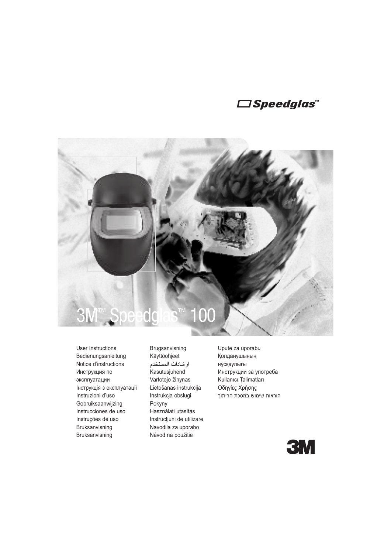# $\square$ Speedglas



User Instructions Bedienungsanleitung Notice d'instructions Инструкция по эксплуатации Інструкція з експлуатації Instruzioni d'uso Gebruiksaanwijzing Instrucciones de uso Instruções de uso Bruksanvisning Bruksanvisning

Brugsanvisning Käyttöohjeet<br>ارشادات المستخدم Kasutusjuhend Vartotojo žinynas Lietošanas instrukcija Instrukcja obsługi Pokyny Használati utasítás Instrucţiuni de utilizare Navodila za uporabo Návod na použitie

Upute za uporabu Қолданушының нұсқаулығы Инструкции за употреба Kullanıcı Talimatları Οδηγίες Χρήσης הוראות שימוש במסכת הריתוך

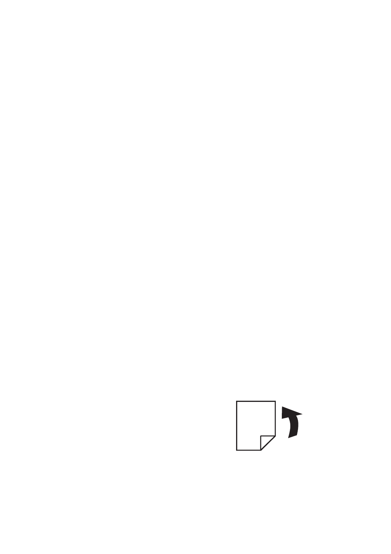# $\Box$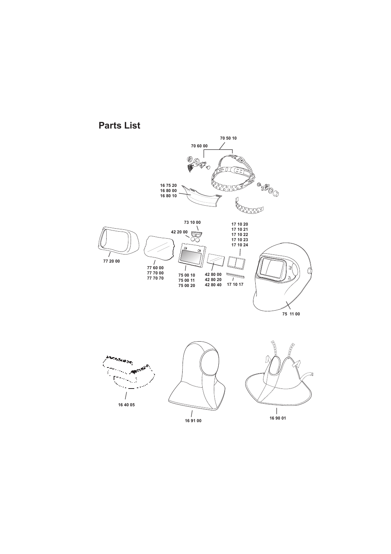

**Parts List**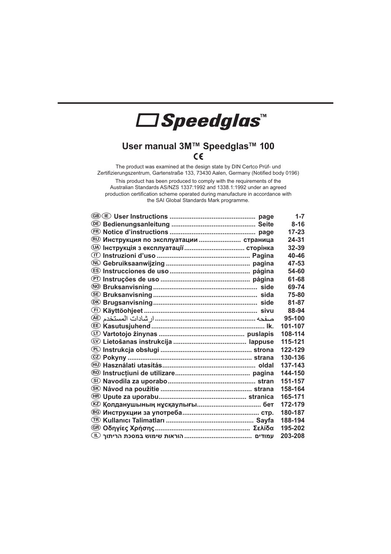# $\square$ Speedglas

# **User manual 3M™ Speedglas™ 100**  $c\epsilon$

The product was examined at the design state by DIN Certco Prüf- und Zertifizierungszentrum, Gartenstraße 133, 73430 Aalen, Germany (Notified body 0196) This product has been produced to comply with the requirements of the Australian Standards AS/NZS 1337:1992 and 1338.1:1992 under an agreed production certification scheme operated during manufacture in accordance with the SAI Global Standards Mark programme.

|                                        | $1 - 7$   |
|----------------------------------------|-----------|
|                                        | $8 - 16$  |
|                                        | $17 - 23$ |
| ® Инструкция по эксплуатации  страница | 24-31     |
|                                        | 32-39     |
|                                        | 40-46     |
|                                        | 47-53     |
|                                        | 54-60     |
|                                        | 61-68     |
|                                        | 69-74     |
|                                        | 75-80     |
|                                        | 81-87     |
| (FI)                                   | 88-94     |
|                                        | 95-100    |
|                                        | 101-107   |
|                                        | 108-114   |
|                                        | 115-121   |
|                                        | 122-129   |
|                                        | 130-136   |
|                                        | 137-143   |
|                                        | 144-150   |
|                                        | 151-157   |
|                                        | 158-164   |
|                                        | 165-171   |
|                                        | 172-179   |
|                                        | 180-187   |
|                                        | 188-194   |
|                                        | 195-202   |
|                                        | 203-208   |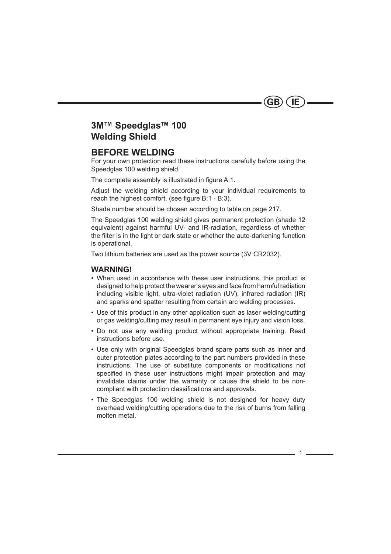

1

# **3M™ Speedglas™ 100 Welding Shield**

#### **BEFORE WELDING**

For your own protection read these instructions carefully before using the Speedglas 100 welding shield.

The complete assembly is illustrated in figure A:1.

Adjust the welding shield according to your individual requirements to reach the highest comfort. (see figure B:1 - B:3).

Shade number should be chosen according to table on page 217.

The Speedglas 100 welding shield gives permanent protection (shade 12 equivalent) against harmful UV- and IR-radiation, regardless of whether the filter is in the light or dark state or whether the auto-darkening function is operational.

Two lithium batteries are used as the power source (3V CR2032).

#### **WARNING!**

- When used in accordance with these user instructions, this product is designed to help protect the wearer's eyes and face from harmful radiation including visible light, ultra-violet radiation (UV), infrared radiation (IR) and sparks and spatter resulting from certain arc welding processes.
- Use of this product in any other application such as laser welding/cutting or gas welding/cutting may result in permanent eye injury and vision loss.
- Do not use any welding product without appropriate training. Read instructions before use.
- Use only with original Speedglas brand spare parts such as inner and outer protection plates according to the part numbers provided in these instructions. The use of substitute components or modifications not specified in these user instructions might impair protection and may invalidate claims under the warranty or cause the shield to be noncompliant with protection classifications and approvals.
- The Speedglas 100 welding shield is not designed for heavy duty overhead welding/cutting operations due to the risk of burns from falling molten metal.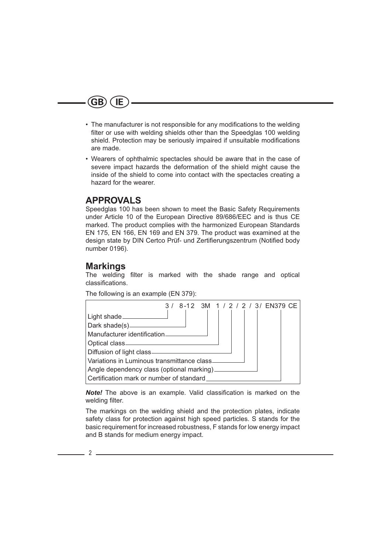

- The manufacturer is not responsible for any modifications to the welding filter or use with welding shields other than the Speedglas 100 welding shield. Protection may be seriously impaired if unsuitable modifications are made.
- Wearers of ophthalmic spectacles should be aware that in the case of severe impact hazards the deformation of the shield might cause the inside of the shield to come into contact with the spectacles creating a hazard for the wearer.

# **APPROVALS**

Speedglas 100 has been shown to meet the Basic Safety Requirements under Article 10 of the European Directive 89/686/EEC and is thus CE marked. The product complies with the harmonized European Standards EN 175, EN 166, EN 169 and EN 379. The product was examined at the design state by DIN Certco Prüf- und Zertifierungszentrum (Notified body number 0196).

#### **Markings**

The welding filter is marked with the shade range and optical classifications.

The following is an example (EN 379):

| 3 / 8-12 3M 1 / 2 / 2 / 3 / EN379 CE        |  |
|---------------------------------------------|--|
| Light shade                                 |  |
| Dark shade(s)                               |  |
| Manufacturer identification                 |  |
| Optical class <sub>----</sub>               |  |
| Diffusion of light class                    |  |
| Variations in Luminous transmittance class- |  |
| Angle dependency class (optional marking) _ |  |
| Certification mark or number of standard_   |  |

*Note!* The above is an example. Valid classification is marked on the welding filter.

The markings on the welding shield and the protection plates, indicate safety class for protection against high speed particles. S stands for the basic requirement for increased robustness, F stands for low energy impact and B stands for medium energy impact.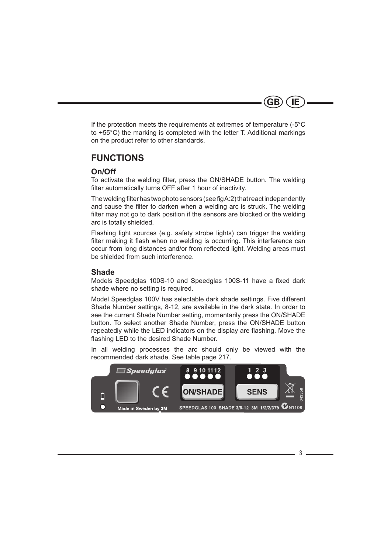If the protection meets the requirements at extremes of temperature (-5°C to +55°C) the marking is completed with the letter T. Additional markings on the product refer to other standards.

 $GB)$  (IE

# **FUNCTIONS**

#### **On/Off**

To activate the welding filter, press the ON/SHADE button. The welding filter automatically turns OFF after 1 hour of inactivity.

The welding filter has two photo sensors (see fig A:2) that react independently and cause the filter to darken when a welding arc is struck. The welding filter may not go to dark position if the sensors are blocked or the welding arc is totally shielded.

Flashing light sources (e.g. safety strobe lights) can trigger the welding filter making it flash when no welding is occurring. This interference can occur from long distances and/or from reflected light. Welding areas must be shielded from such interference.

#### **Shade**

Models Speedglas 100S-10 and Speedglas 100S-11 have a fixed dark shade where no setting is required.

Model Speedglas 100V has selectable dark shade settings. Five different Shade Number settings, 8-12, are available in the dark state. In order to see the current Shade Number setting, momentarily press the ON/SHADE button. To select another Shade Number, press the ON/SHADE button repeatedly while the LED indicators on the display are flashing. Move the flashing LED to the desired Shade Number.

In all welding processes the arc should only be viewed with the recommended dark shade. See table page 217.



3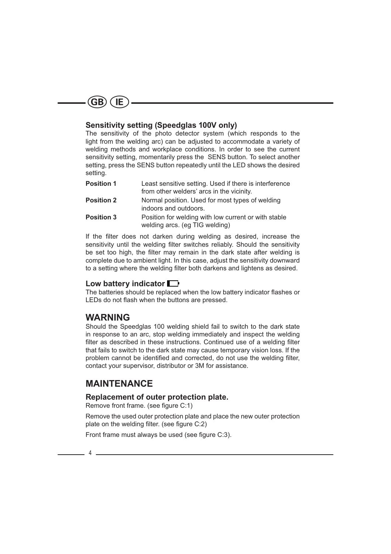# **Sensitivity setting (Speedglas 100V only)**

The sensitivity of the photo detector system (which responds to the light from the welding arc) can be adjusted to accommodate a variety of welding methods and workplace conditions. In order to see the current sensitivity setting, momentarily press the SENS button. To select another setting, press the SENS button repeatedly until the LED shows the desired setting.

| <b>Position 1</b> | Least sensitive setting. Used if there is interference<br>from other welders' arcs in the vicinity. |
|-------------------|-----------------------------------------------------------------------------------------------------|
| <b>Position 2</b> | Normal position. Used for most types of welding<br>indoors and outdoors.                            |
| <b>Position 3</b> | Position for welding with low current or with stable<br>welding arcs. (eg TIG welding)              |

If the filter does not darken during welding as desired, increase the sensitivity until the welding filter switches reliably. Should the sensitivity be set too high, the filter may remain in the dark state after welding is complete due to ambient light. In this case, adjust the sensitivity downward to a setting where the welding filter both darkens and lightens as desired.

#### **Low battery indicator**

The batteries should be replaced when the low battery indicator flashes or LEDs do not flash when the buttons are pressed.

# **WARNING**

 $(GB)$  ( IE

Should the Speedglas 100 welding shield fail to switch to the dark state in response to an arc, stop welding immediately and inspect the welding filter as described in these instructions. Continued use of a welding filter that fails to switch to the dark state may cause temporary vision loss. If the problem cannot be identified and corrected, do not use the welding filter, contact your supervisor, distributor or 3M for assistance.

# **MAINTENANCE**

4

#### **Replacement of outer protection plate.**

Remove front frame. (see figure C:1)

Remove the used outer protection plate and place the new outer protection plate on the welding filter. (see figure C:2)

Front frame must always be used (see figure C:3).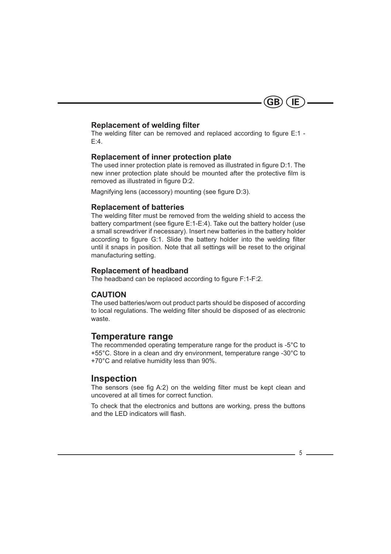

#### **Replacement of welding filter**

The welding filter can be removed and replaced according to figure E:1 -  $E:4.$ 

#### **Replacement of inner protection plate**

The used inner protection plate is removed as illustrated in figure D:1. The new inner protection plate should be mounted after the protective film is removed as illustrated in figure D:2.

Magnifying lens (accessory) mounting (see figure D:3).

#### **Replacement of batteries**

The welding filter must be removed from the welding shield to access the battery compartment (see figure E:1-E:4). Take out the battery holder (use a small screwdriver if necessary). Insert new batteries in the battery holder according to figure G:1. Slide the battery holder into the welding filter until it snaps in position. Note that all settings will be reset to the original manufacturing setting.

#### **Replacement of headband**

The headband can be replaced according to figure F:1-F:2.

#### **CAUTION**

The used batteries/worn out product parts should be disposed of according to local regulations. The welding filter should be disposed of as electronic waste.

#### **Temperature range**

The recommended operating temperature range for the product is -5°C to +55°C. Store in a clean and dry environment, temperature range -30°C to +70°C and relative humidity less than 90%.

#### **Inspection**

The sensors (see fig A:2) on the welding filter must be kept clean and uncovered at all times for correct function.

To check that the electronics and buttons are working, press the buttons and the LED indicators will flash.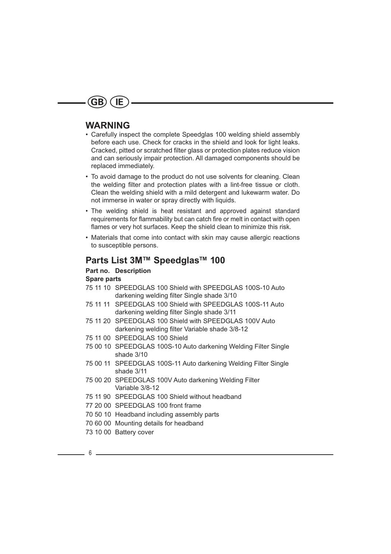# $(GB)$  ( IE

#### **WARNING**

- Carefully inspect the complete Speedglas 100 welding shield assembly before each use. Check for cracks in the shield and look for light leaks. Cracked, pitted or scratched filter glass or protection plates reduce vision and can seriously impair protection. All damaged components should be replaced immediately.
- To avoid damage to the product do not use solvents for cleaning. Clean the welding filter and protection plates with a lint-free tissue or cloth. Clean the welding shield with a mild detergent and lukewarm water. Do not immerse in water or spray directly with liquids.
- The welding shield is heat resistant and approved against standard requirements for flammability but can catch fire or melt in contact with open flames or very hot surfaces. Keep the shield clean to minimize this risk.
- Materials that come into contact with skin may cause allergic reactions to susceptible persons.

## **Parts List 3M™ Speedglas™ 100**

## **Part no. Description**

#### **Spare parts**

- 75 11 10 SPEEDGLAS 100 Shield with SPEEDGLAS 100S-10 Auto darkening welding filter Single shade 3/10
- 75 11 11 SPEEDGLAS 100 Shield with SPEEDGLAS 100S-11 Auto darkening welding filter Single shade 3/11
- 75 11 20 SPEEDGLAS 100 Shield with SPEEDGLAS 100V Auto darkening welding filter Variable shade 3/8-12
- 75 11 00 SPEEDGLAS 100 Shield
- 75 00 10 SPEEDGLAS 100S-10 Auto darkening Welding Filter Single shade 3/10
- 75 00 11 SPEEDGLAS 100S-11 Auto darkening Welding Filter Single shade 3/11
- 75 00 20 SPEEDGLAS 100V Auto darkening Welding Filter Variable 3/8-12
- 75 11 90 SPEEDGLAS 100 Shield without headband
- 77 20 00 SPEEDGLAS 100 front frame
- 70 50 10 Headband including assembly parts
- 70 60 00 Mounting details for headband
- 73 10 00 Battery cover

 $-6-$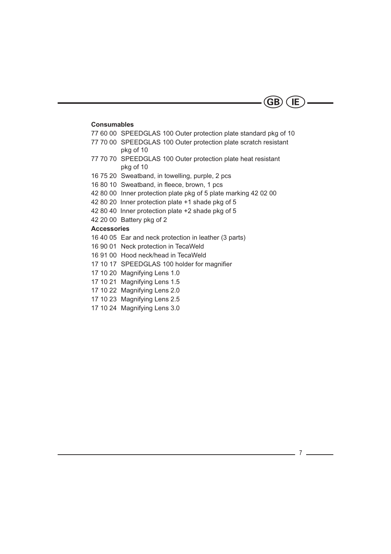

#### **Consumables**

- 77 60 00 SPEEDGLAS 100 Outer protection plate standard pkg of 10
- 77 70 00 SPEEDGLAS 100 Outer protection plate scratch resistant pkg of 10
- 77 70 70 SPEEDGLAS 100 Outer protection plate heat resistant pkg of 10
- 16 75 20 Sweatband, in towelling, purple, 2 pcs
- 16 80 10 Sweatband, in fleece, brown, 1 pcs
- 42 80 00 Inner protection plate pkg of 5 plate marking 42 02 00
- 42 80 20 Inner protection plate +1 shade pkg of 5
- 42 80 40 Inner protection plate +2 shade pkg of 5
- 42 20 00 Battery pkg of 2

#### **Accessories**

- 16 40 05 Ear and neck protection in leather (3 parts)
- 16 90 01 Neck protection in TecaWeld
- 16 91 00 Hood neck/head in TecaWeld
- 17 10 17 SPEEDGLAS 100 holder for magnifier
- 17 10 20 Magnifying Lens 1.0
- 17 10 21 Magnifying Lens 1.5
- 17 10 22 Magnifying Lens 2.0
- 17 10 23 Magnifying Lens 2.5
- 17 10 24 Magnifying Lens 3.0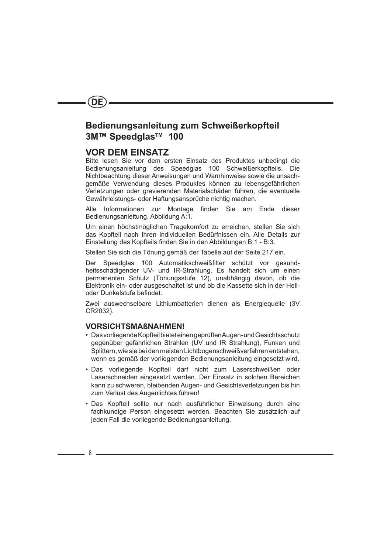# **Bedienungsanleitung zum Schweißerkopfteil 3M™ Speedglas™ 100**

#### **VOR DEM EINSATZ**

**DE** 

Bitte lesen Sie vor dem ersten Einsatz des Produktes unbedingt die Bedienungsanleitung des Speedglas 100 Schweißerkopfteils. Die Nichtbeachtung dieser Anweisungen und Warnhinweise sowie die unsachgemäße Verwendung dieses Produktes können zu lebensgefährlichen Verletzungen oder gravierenden Materialschäden führen, die eventuelle Gewährleistungs- oder Haftungsansprüche nichtig machen.

Alle Informationen zur Montage finden Sie am Ende dieser B edienungsanleitung, Abbildung A:1.

Um einen höchstmöglichen Tragekomfort zu erreichen, stellen Sie sich das Kopfteil nach Ihren individuellen Bedürfnissen ein. Alle Details zur Einstellung des Kopfteils finden Sie in den Abbildungen B:1 - B:3.

Stellen Sie sich die Tönung gemäß der Tabelle auf der Seite 217 ein.

Der Speedglas 100 Automatikschweißfilter schützt vor gesundheitsschädigender UV- und IR-Strahlung. Es handelt sich um einen permanenten Schutz (Tönungsstufe 12), unabhängig davon, ob die Elektronik ein- oder ausgeschaltet ist und ob die Kassette sich in der Helloder Dunkelstufe befindet.

Zwei auswechselbare Lithiumbatterien dienen als Energiequelle (3V CR2032).

#### **VORSICHTSMAßNAHMEN!**

- Das vorliegende Kopfteil bietet einen geprüften Augen- und Gesichtsschutz gegenüber gefährlichen Strahlen (UV und IR Strahlung), Funken und Splittern, wie sie bei den meisten Lichtbogenschweiß verfahren entstehen, wenn es gemäß der vorliegenden Bedienungsanleitung eingesetzt wird.
- Das vorliegende Kopfteil darf nicht zum Laserschweißen oder Laserschneiden eingesetzt werden. Der Einsatz in solchen Bereichen kann zu schweren, bleibenden Augen- und Gesichtsverletzungen bis hin zum Verlust des Augenlichtes führen!
- Das Kopfteil sollte nur nach ausführlicher Einweisung durch eine fachkundige Person eingesetzt werden. Beachten Sie zusätzlich auf jeden Fall die vorliegende Bedienungsanleitung.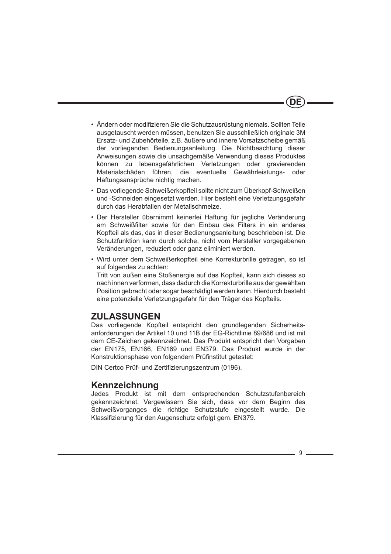- Ändern oder modifizieren Sie die Schutzausrüstung niemals. Sollten Teile ausgetauscht werden müssen, benutzen Sie ausschließlich originale 3M Ersatz- und Zubehörteile, z.B. äußere und innere Vorsatzscheibe gemäß der vorliegenden Bedienungsanleitung. Die Nichtbeachtung dieser Anweisungen sowie die unsachgemäße Verwendung dieses Produktes können zu lebensgefährlichen Verletzungen oder gravierenden Materialschäden führen, die eventuelle Gewährleistungs- oder Haftungsansprüche nichtig machen.
- Das vorliegende Schweißerkopfteil sollte nicht zum Überkopf-Schweißen und -Schneiden eingesetzt werden. Hier besteht eine Verletzungsgefahr durch das Herabfallen der Metallschmelze.
- Der Hersteller übernimmt keinerlei Haftung für jegliche Veränderung am Schweißfilter sowie für den Einbau des Filters in ein anderes Kopfteil als das, das in dieser Bedienungsanleitung beschrieben ist. Die Schutzfunktion kann durch solche, nicht vom Hersteller vorgegebenen Veränderungen, reduziert oder ganz eliminiert werden.
- Wird unter dem Schweißerkopfteil eine Korrekturbrille getragen, so ist auf folgendes zu achten:

Tritt von außen eine Stoßenergie auf das Kopfteil, kann sich dieses so nach innen verformen, dass dadurch die Korrekturbrille aus der gewählten Position gebracht oder sogar beschädigt werden kann. Hierdurch besteht eine potenzielle Verletzungsgefahr für den Träger des Kopfteils.

#### **ZULASSUNGEN**

Das vorliegende Kopfteil entspricht den grundlegenden Sicherheitsanforderungen der Artikel 10 und 11B der EG-Richtlinie 89/686 und ist mit dem CE-Zeichen gekennzeichnet. Das Produkt entspricht den Vorgaben der EN175, EN166, EN169 und EN379. Das Produkt wurde in der Konstruktionsphase von folgendem Prüfinstitut getestet:

DIN Certco Prüf- und Zertifizierungszentrum (0196).

#### **Kennzeichnung**

Jedes Produkt ist mit dem entsprechenden Schutzstufenbereich gekennzeichnet. Vergewissern Sie sich, dass vor dem Beginn des Schweißvorganges die richtige Schutzstufe eingestellt wurde. Die Klassifizierung für den Augenschutz erfolgt gem. EN379.

DE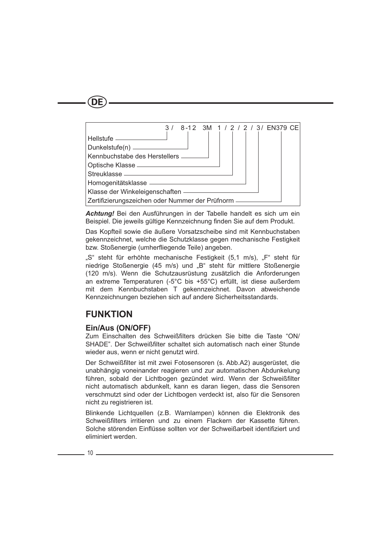|                                                   | 8-12 3M 1 / 2 / 2 / 3 / EN379 CE |  |  |  |  |
|---------------------------------------------------|----------------------------------|--|--|--|--|
| Hellstufe ——————                                  |                                  |  |  |  |  |
| Dunkelstufe(n) _______________                    |                                  |  |  |  |  |
| Kennbuchstabe des Herstellers _____               |                                  |  |  |  |  |
|                                                   |                                  |  |  |  |  |
| Streuklasse <u>______________________________</u> |                                  |  |  |  |  |
| Homogenitätsklasse ____________                   |                                  |  |  |  |  |
| Klasse der Winkeleigenschaften -                  |                                  |  |  |  |  |
| Zertifizierungszeichen oder Nummer der Prüfnorm - |                                  |  |  |  |  |

*Achtung!* Bei den Ausführungen in der Tabelle handelt es sich um ein Beispiel. Die jeweils gültige Kennzeichnung finden Sie auf dem Produkt.

Das Kopfteil sowie die äußere Vorsatzscheibe sind mit Kennbuchstaben gekennzeichnet, welche die Schutzklasse gegen mechanische Festigkeit bzw. Stoßenergie (umherfliegende Teile) angeben.

"S" steht für erhöhte mechanische Festigkeit (5,1 m/s), "F" steht für niedrige Stoßenergie (45 m/s) und "B" steht für mittlere Stoßenergie (120 m/s). Wenn die Schutzausrüstung zusätzlich die Anforderungen an extreme Temperaturen (-5°C bis +55°C) erfüllt, ist diese außerdem mit dem Kennbuchstaben T gekennzeichnet. Davon abweichende Kennzeichnungen beziehen sich auf andere Sicherheitsstandards.

# **FUNKTION**

DF

#### **Ein/Aus (ON/OFF)**

Zum Einschalten des Schweißfilters drücken Sie bitte die Taste "ON/ SHADE". Der Schweißfilter schaltet sich automatisch nach einer Stunde wieder aus, wenn er nicht genutzt wird.

Der Schweißfilter ist mit zwei Fotosensoren (s. Abb.A2) ausgerüstet, die unabhängig voneinander reagieren und zur automatischen Abdunkelung führen, sobald der Lichtbogen gezündet wird. Wenn der Schweißfilter nicht automatisch abdunkelt, kann es daran liegen, dass die Sensoren verschmutzt sind oder der Lichtbogen verdeckt ist, also für die Sensoren nicht zu registrieren ist.

Blinkende Lichtquellen (z.B. Warnlampen) können die Elektronik des Schweißfilters irritieren und zu einem Flackern der Kassette führen. Solche störenden Einflüsse sollten vor der Schweißarbeit identifiziert und eliminiert werden.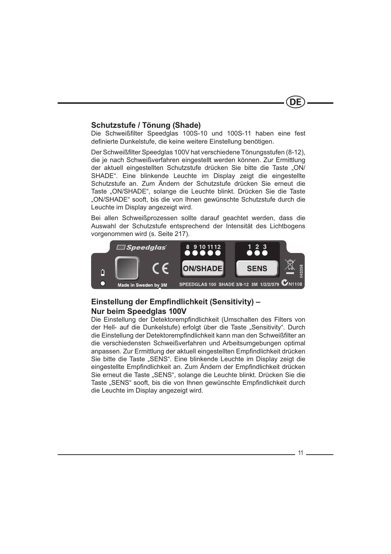#### **Schutzstufe / Tönung (Shade)**

Die Schweißfilter Speedglas 100S-10 und 100S-11 haben eine fest definierte Dunkelstufe, die keine weitere Einstellung benötigen.

Der Schweißfilter Speedglas 100V hat verschiedene Tönungsstufen (8-12), die je nach Schweißverfahren eingestellt werden können. Zur Ermittlung der aktuell eingestellten Schutzstufe drücken Sie bitte die Taste "ON/ SHADE". Eine blinkende Leuchte im Display zeigt die eingestellte Schutzstufe an. Zum Ändern der Schutzstufe drücken Sie erneut die Taste "ON/SHADE", solange die Leuchte blinkt. Drücken Sie die Taste "ON/SHADE" sooft, bis die von Ihnen gewünschte Schutzstufe durch die Leuchte im Display angezeigt wird.

Bei allen Schweißprozessen sollte darauf geachtet werden, dass die Auswahl der Schutzstufe entsprechend der Intensität des Lichtbogens vorgenommen wird (s. Seite 217).



#### **Einstellung der Empfindlichkeit (Sensitivity) – Nur beim Speedglas 100V**

Die Einstellung der Detektorempfindlichkeit (Umschalten des Filters von der Hell- auf die Dunkelstufe) erfolgt über die Taste "Sensitivity". Durch die Einstellung der Detektorempfindlichkeit kann man den Schweißfilter an die verschiedensten Schweißverfahren und Arbeitsumgebungen optimal anpassen. Zur Ermittlung der aktuell eingestellten Empfindlichkeit drücken Sie bitte die Taste "SENS". Eine blinkende Leuchte im Display zeigt die eingestellte Empfindlichkeit an. Zum Ändern der Empfindlichkeit drücken Sie erneut die Taste "SENS", solange die Leuchte blinkt. Drücken Sie die Taste "SENS" sooft, bis die von Ihnen gewünschte Empfindlichkeit durch die Leuchte im Display angezeigt wird.

DE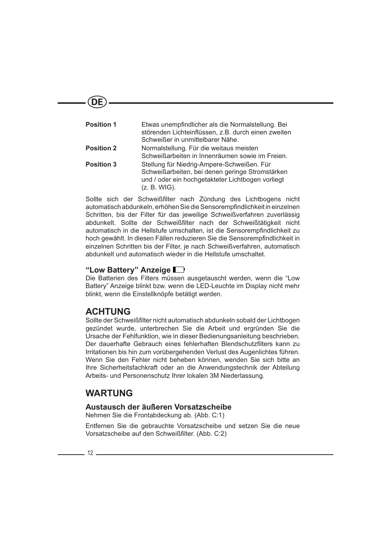| <b>Position 1</b> | Etwas unempfindlicher als die Normalstellung. Bei<br>störenden Lichteinflüssen, z.B. durch einen zweiten<br>Schweißer in unmittelbarer Nähe.                       |
|-------------------|--------------------------------------------------------------------------------------------------------------------------------------------------------------------|
| <b>Position 2</b> | Normalstellung. Für die weitaus meisten<br>Schweißarbeiten in Innenräumen sowie im Freien.                                                                         |
| <b>Position 3</b> | Stellung für Niedrig-Ampere-Schweißen. Für<br>Schweißarbeiten, bei denen geringe Stromstärken<br>und / oder ein hochgetakteter Lichtbogen vorliegt<br>(z. B. WIG). |

Sollte sich der Schweißfilter nach Zündung des Lichtbogens nicht automatisch abdunkeln, erhöhen Sie die Sensorempfindlichkeit in einzelnen Schritten, bis der Filter für das jeweilige Schweißverfahren zuverlässig abdunkelt. Sollte der Schweißfilter nach der Schweißtätigkeit nicht automatisch in die Hellstufe umschalten, ist die Sensorempfindlichkeit zu hoch gewählt. In diesen Fällen reduzieren Sie die Sensorempfindlichkeit in einzelnen Schritten bis der Filter, je nach Schweißverfahren, automatisch abdunkelt und automatisch wieder in die Hellstufe umschaltet.

#### **"Low Battery" Anzeige**

Die Batterien des Filters müssen ausgetauscht werden, wenn die "Low Battery" Anzeige blinkt bzw. wenn die LED-Leuchte im Display nicht mehr blinkt, wenn die Einstellknöpfe betätigt werden.

#### **ACHTUNG**

**DF** 

Sollte der Schweißfilter nicht automatisch abdunkeln sobald der Lichtbogen gezündet wurde, unterbrechen Sie die Arbeit und ergründen Sie die Ursache der Fehlfunktion, wie in dieser Bedienungsanleitung beschrieben. Der dauerhafte Gebrauch eines fehlerhaften Blendschutzfilters kann zu Irritationen bis hin zum vorübergehenden Verlust des Augenlichtes führen. Wenn Sie den Fehler nicht beheben können, wenden Sie sich bitte an Ihre Sicherheitsfachkraft oder an die Anwendungstechnik der Abteilung Arbeits- und Personenschutz Ihrer lokalen 3M Niederlassung.

# **WARTUNG**

#### **Austausch der äußeren Vorsatzscheibe**

Nehmen Sie die Frontabdeckung ab. (Abb. C:1)

Entfernen Sie die gebrauchte Vorsatzscheibe und setzen Sie die neue Vorsatzscheibe auf den Schweißfilter. (Abb. C:2)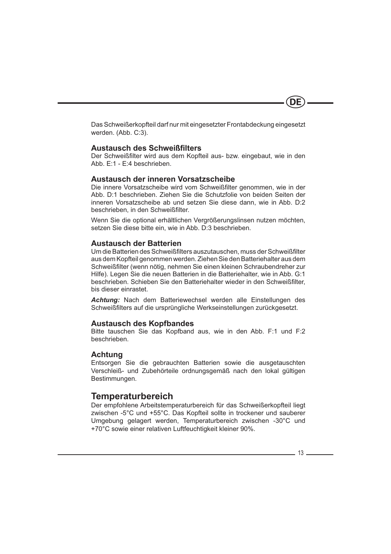Das Schweißerkopfteil darf nur mit eingesetzter Frontabdeckung eingesetzt werden. (Abb. C:3).

#### **Austausch des Schweißfilters**

Der Schweißfilter wird aus dem Kopfteil aus- bzw. eingebaut, wie in den Abb. E:1 - E:4 beschrieben.

#### **Austausch der inneren Vorsatzscheibe**

Die innere Vorsatzscheibe wird vom Schweißfilter genommen, wie in der Abb. D:1 beschrieben. Ziehen Sie die Schutzfolie von beiden Seiten der inneren Vorsatzscheibe ab und setzen Sie diese dann, wie in Abb. D:2 beschrieben, in den Schweißfilter.

Wenn Sie die optional erhältlichen Vergrößerungslinsen nutzen möchten, setzen Sie diese bitte ein, wie in Abb. D:3 beschrieben.

#### **Austausch der Batterien**

Um die Batterien des Schweißfilters auszutauschen, muss der Schweißfilter aus dem Kopfteil genommen werden. Ziehen Sie den Batteriehalter aus dem Schweißfilter (wenn nötig, nehmen Sie einen kleinen Schraubendreher zur Hilfe). Legen Sie die neuen Batterien in die Batteriehalter, wie in Abb. G:1 beschrieben. Schieben Sie den Batteriehalter wieder in den Schweißfilter, bis dieser einrastet.

*Achtung:* Nach dem Batteriewechsel werden alle Einstellungen des Schweißfilters auf die ursprüngliche Werkseinstellungen zurückgesetzt.

#### **Austausch des Kopfbandes**

Bitte tauschen Sie das Kopfband aus, wie in den Abb. F:1 und F:2 beschrieben.

#### **Achtung**

Entsorgen Sie die gebrauchten Batterien sowie die ausgetauschten Verschleiß- und Zubehörteile ordnungsgemäß nach den lokal gültigen Bestimmungen.

#### **Temperaturbereich**

Der empfohlene Arbeitstemperaturbereich für das Schweißerkopfteil liegt zwischen -5°C und +55°C. Das Kopfteil sollte in trockener und sauberer Umgebung gelagert werden, Temperaturbereich zwischen -30°C und +70°C sowie einer relativen Luftfeuchtigkeit kleiner 90%.

DF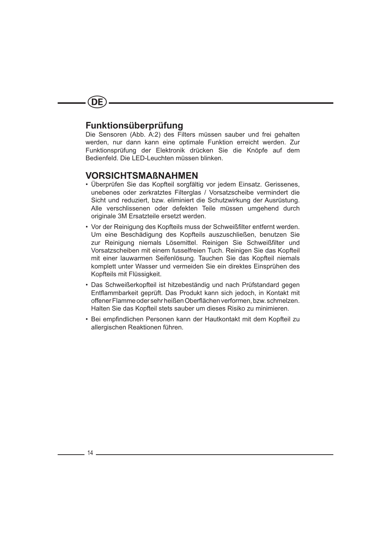# **Funktionsüberprüfung**

**DE** 

Die Sensoren (Abb. A:2) des Filters müssen sauber und frei gehalten werden, nur dann kann eine optimale Funktion erreicht werden. Zur Funktionsprüfung der Elektronik drücken Sie die Knöpfe auf dem Bedienfeld. Die LED-Leuchten müssen blinken.

#### **VORSICHTSMAßNAHMEN**

- Überprüfen Sie das Kopfteil sorgfältig vor jedem Einsatz. Gerissenes, unebenes oder zerkratztes Filterglas / Vorsatzscheibe vermindert die Sicht und reduziert, bzw. eliminiert die Schutzwirkung der Ausrüstung. Alle verschlissenen oder defekten Teile müssen umgehend durch originale 3M Ersatzteile ersetzt werden.
- Vor der Reinigung des Kopfteils muss der Schweißfilter entfernt werden. Um eine Beschädigung des Kopfteils auszuschließen, benutzen Sie zur Reinigung niemals Lösemittel. Reinigen Sie Schweißfilter und Vorsatzscheiben mit einem fusselfreien Tuch. Reinigen Sie das Kopfteil mit einer lauwarmen Seifenlösung. Tauchen Sie das Kopfteil niemals komplett unter Wasser und vermeiden Sie ein direktes Einsprühen des Kopfteils mit Flüssigkeit.
- Das Schweißerkopfteil ist hitzebeständig und nach Prüfstandard gegen Entflammbarkeit geprüft. Das Produkt kann sich jedoch, in Kontakt mit offener Flamme oder sehr heißen Oberflächen verformen, bzw. schmelzen. Halten Sie das Kopfteil stets sauber um dieses Risiko zu minimieren.
- Bei empfindlichen Personen kann der Hautkontakt mit dem Kopfteil zu allergischen Reaktionen führen.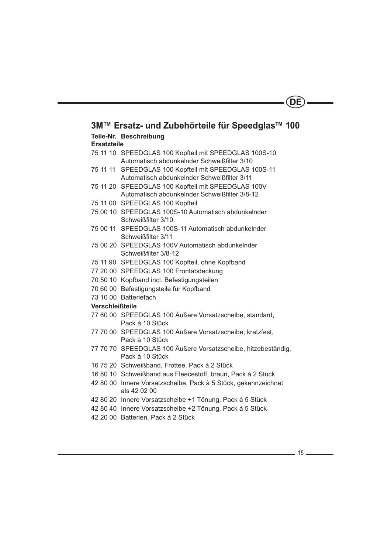# **3M™ Ersatz- und Zubehörteile für Speedglas™ 100 Teile-Nr. Beschreibung**

#### **Ersatzteile**

- 75 11 10 SPEEDGLAS 100 Kopfteil mit SPEEDGLAS 100S-10 Automatisch abdunkelnder Schweißfilter 3/10
- 75 11 11 SPEEDGLAS 100 Kopfteil mit SPEEDGLAS 100S-11 Automatisch abdunkelnder Schweißfilter 3/11
- 75 11 20 SPEEDGLAS 100 Kopfteil mit SPEEDGLAS 100V Automatisch abdunkelnder Schweißfilter 3/8-12
- 75 11 00 SPEEDGLAS 100 Kopfteil
- 75 00 10 SPEEDGLAS 100S-10 Automatisch abdunkelnder Schweißfilter 3/10
- 75 00 11 SPEEDGLAS 100S-11 Automatisch abdunkelnder Schweißfilter 3/11
- 75 00 20 SPEEDGLAS 100V Automatisch abdunkelnder Schweißfilter 3/8-12
- 75 11 90 SPEEDGLAS 100 Kopfteil, ohne Kopfband
- 77 20 00 SPEEDGLAS 100 Frontabdeckung
- 70 50 10 Kopfband incl. Befestigungsteilen
- 70 60 00 Befestigungsteile für Kopfband
- 73 10 00 Batteriefach

#### **Verschleißteile**

- 77 60 00 SPEEDGLAS 100 Äußere Vorsatzscheibe, standard, Pack à 10 Stück
- 77 70 00 SPEEDGLAS 100 Äußere Vorsatzscheibe, kratzfest, Pack à 10 Stück
- 77 70 70 SPEEDGLAS 100 Äußere Vorsatzscheibe, hitzebeständig, Pack à 10 Stück
- 16 75 20 Schweißband, Frottee, Pack à 2 Stück
- 16 80 10 Schweißband aus Fleecestoff, braun, Pack à 2 Stück
- 42 80 00 Innere Vorsatzscheibe, Pack à 5 Stück, gekennzeichnet als 42 02 00
- 42 80 20 Innere Vorsatzscheibe +1 Tönung, Pack à 5 Stück
- 42 80 40 Innere Vorsatzscheibe +2 Tönung, Pack à 5 Stück
- 42 20 00 Batterien, Pack à 2 Stück

(DE)